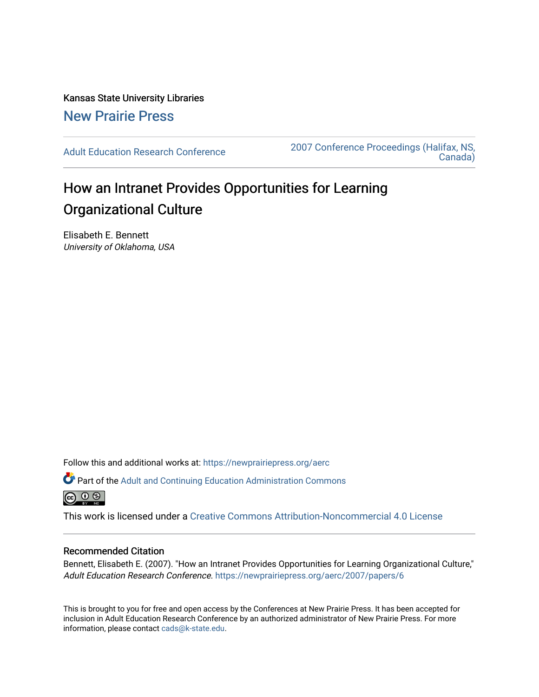Kansas State University Libraries [New Prairie Press](https://newprairiepress.org/) 

[Adult Education Research Conference](https://newprairiepress.org/aerc) [2007 Conference Proceedings \(Halifax, NS,](https://newprairiepress.org/aerc/2007)  [Canada\)](https://newprairiepress.org/aerc/2007) 

# How an Intranet Provides Opportunities for Learning Organizational Culture

Elisabeth E. Bennett University of Oklahoma, USA

Follow this and additional works at: [https://newprairiepress.org/aerc](https://newprairiepress.org/aerc?utm_source=newprairiepress.org%2Faerc%2F2007%2Fpapers%2F6&utm_medium=PDF&utm_campaign=PDFCoverPages)

Part of the [Adult and Continuing Education Administration Commons](http://network.bepress.com/hgg/discipline/789?utm_source=newprairiepress.org%2Faerc%2F2007%2Fpapers%2F6&utm_medium=PDF&utm_campaign=PDFCoverPages) 

This work is licensed under a [Creative Commons Attribution-Noncommercial 4.0 License](https://creativecommons.org/licenses/by-nc/4.0/)

#### Recommended Citation

Bennett, Elisabeth E. (2007). "How an Intranet Provides Opportunities for Learning Organizational Culture," Adult Education Research Conference. <https://newprairiepress.org/aerc/2007/papers/6>

This is brought to you for free and open access by the Conferences at New Prairie Press. It has been accepted for inclusion in Adult Education Research Conference by an authorized administrator of New Prairie Press. For more information, please contact [cads@k-state.edu](mailto:cads@k-state.edu).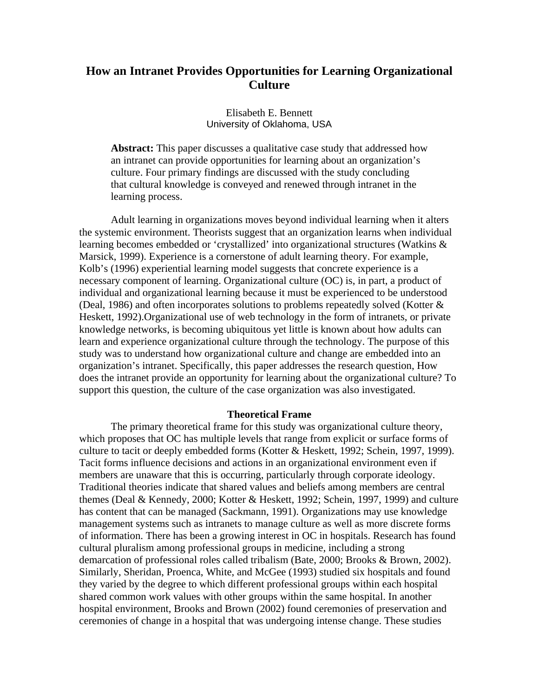## **How an Intranet Provides Opportunities for Learning Organizational Culture**

Elisabeth E. Bennett University of Oklahoma, USA

**Abstract:** This paper discusses a qualitative case study that addressed how an intranet can provide opportunities for learning about an organization's culture. Four primary findings are discussed with the study concluding that cultural knowledge is conveyed and renewed through intranet in the learning process.

Adult learning in organizations moves beyond individual learning when it alters the systemic environment. Theorists suggest that an organization learns when individual learning becomes embedded or 'crystallized' into organizational structures (Watkins & Marsick, 1999). Experience is a cornerstone of adult learning theory. For example, Kolb's (1996) experiential learning model suggests that concrete experience is a necessary component of learning. Organizational culture (OC) is, in part, a product of individual and organizational learning because it must be experienced to be understood (Deal, 1986) and often incorporates solutions to problems repeatedly solved (Kotter & Heskett, 1992).Organizational use of web technology in the form of intranets, or private knowledge networks, is becoming ubiquitous yet little is known about how adults can learn and experience organizational culture through the technology. The purpose of this study was to understand how organizational culture and change are embedded into an organization's intranet. Specifically, this paper addresses the research question, How does the intranet provide an opportunity for learning about the organizational culture? To support this question, the culture of the case organization was also investigated.

#### **Theoretical Frame**

The primary theoretical frame for this study was organizational culture theory, which proposes that OC has multiple levels that range from explicit or surface forms of culture to tacit or deeply embedded forms (Kotter & Heskett, 1992; Schein, 1997, 1999). Tacit forms influence decisions and actions in an organizational environment even if members are unaware that this is occurring, particularly through corporate ideology. Traditional theories indicate that shared values and beliefs among members are central themes (Deal & Kennedy, 2000; Kotter & Heskett, 1992; Schein, 1997, 1999) and culture has content that can be managed (Sackmann, 1991). Organizations may use knowledge management systems such as intranets to manage culture as well as more discrete forms of information. There has been a growing interest in OC in hospitals. Research has found cultural pluralism among professional groups in medicine, including a strong demarcation of professional roles called tribalism (Bate, 2000; Brooks & Brown, 2002). Similarly, Sheridan, Proenca, White, and McGee (1993) studied six hospitals and found they varied by the degree to which different professional groups within each hospital shared common work values with other groups within the same hospital. In another hospital environment, Brooks and Brown (2002) found ceremonies of preservation and ceremonies of change in a hospital that was undergoing intense change. These studies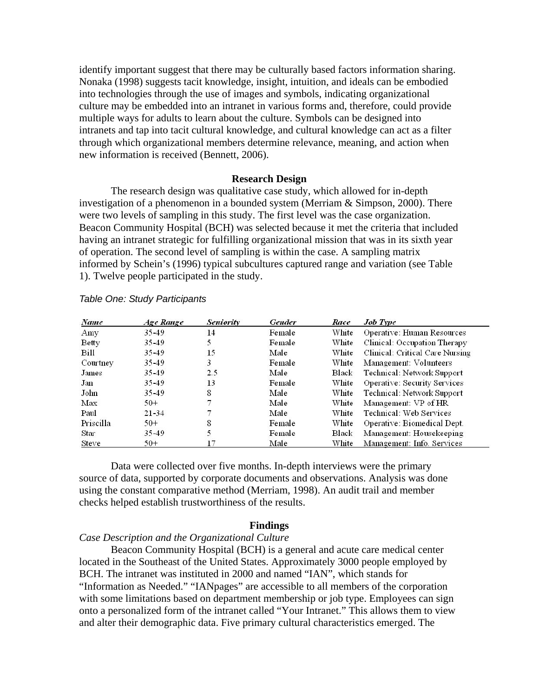identify important suggest that there may be culturally based factors information sharing. Nonaka (1998) suggests tacit knowledge, insight, intuition, and ideals can be embodied into technologies through the use of images and symbols, indicating organizational culture may be embedded into an intranet in various forms and, therefore, could provide multiple ways for adults to learn about the culture. Symbols can be designed into intranets and tap into tacit cultural knowledge, and cultural knowledge can act as a filter through which organizational members determine relevance, meaning, and action when new information is received (Bennett, 2006).

#### **Research Design**

The research design was qualitative case study, which allowed for in-depth investigation of a phenomenon in a bounded system (Merriam & Simpson, 2000). There were two levels of sampling in this study. The first level was the case organization. Beacon Community Hospital (BCH) was selected because it met the criteria that included having an intranet strategic for fulfilling organizational mission that was in its sixth year of operation. The second level of sampling is within the case. A sampling matrix informed by Schein's (1996) typical subcultures captured range and variation (see Table 1). Twelve people participated in the study.

| Name      | Age Range | <b>Seniority</b> | Gender | Race  | <b>Job Type</b>                 |
|-----------|-----------|------------------|--------|-------|---------------------------------|
| Amy       | 35.49     | 14               | Female | White | Operative: Human Resources      |
| Betty     | 35-49     |                  | Female | White | Clinical: Occupation Therapy    |
| Bill      | $35 - 49$ | 15               | Male   | White | Clinical: Critical Care Nursing |
| Courtney  | 35.49     | 3                | Female | White | Management: Volunteers          |
| James     | $35 - 49$ | 2.5              | Male   | Black | Technical: Network Support      |
| Jan       | 35-49     | 13               | Female | White | Operative: Security Services    |
| John      | 35-49     | 8                | Male   | White | Technical: Network Support      |
| Max       | $50+$     |                  | Male   | White | Management: VP of HR            |
| Paul      | $21 - 34$ |                  | Male   | White | Technical: Web Services         |
| Priscilla | $50+$     | 8                | Female | White | Operative: Biomedical Dept.     |
| Star      | $35 - 49$ |                  | Female | Black | Management: Housekeeping        |
| Steve     | $50+$     |                  | Male   | White | Management: Info. Services      |

#### *Table One: Study Participants*

Data were collected over five months. In-depth interviews were the primary source of data, supported by corporate documents and observations. Analysis was done using the constant comparative method (Merriam, 1998). An audit trail and member checks helped establish trustworthiness of the results.

#### **Findings**

### *Case Description and the Organizational Culture*

Beacon Community Hospital (BCH) is a general and acute care medical center located in the Southeast of the United States. Approximately 3000 people employed by BCH. The intranet was instituted in 2000 and named "IAN", which stands for "Information as Needed." "IANpages" are accessible to all members of the corporation with some limitations based on department membership or job type. Employees can sign onto a personalized form of the intranet called "Your Intranet." This allows them to view and alter their demographic data. Five primary cultural characteristics emerged. The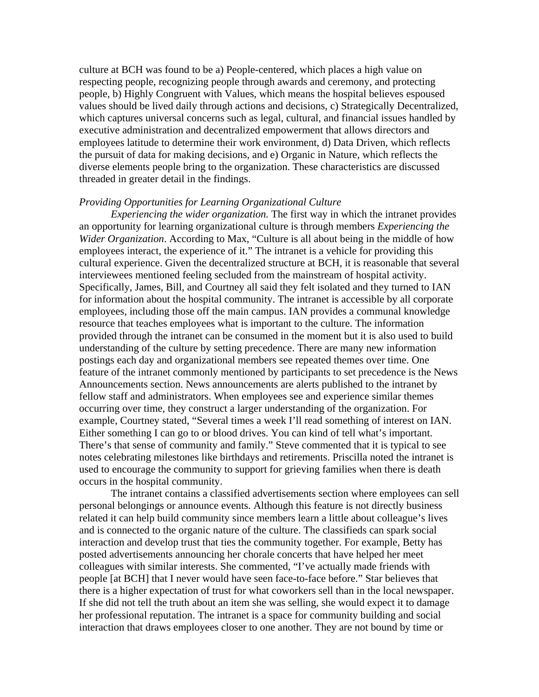culture at BCH was found to be a) People-centered, which places a high value on respecting people, recognizing people through awards and ceremony, and protecting people, b) Highly Congruent with Values, which means the hospital believes espoused values should be lived daily through actions and decisions, c) Strategically Decentralized, which captures universal concerns such as legal, cultural, and financial issues handled by executive administration and decentralized empowerment that allows directors and employees latitude to determine their work environment, d) Data Driven, which reflects the pursuit of data for making decisions, and e) Organic in Nature, which reflects the diverse elements people bring to the organization. These characteristics are discussed threaded in greater detail in the findings.

#### *Providing Opportunities for Learning Organizational Culture*

*Experiencing the wider organization.* The first way in which the intranet provides an opportunity for learning organizational culture is through members *Experiencing the Wider Organization*. According to Max, "Culture is all about being in the middle of how employees interact, the experience of it." The intranet is a vehicle for providing this cultural experience. Given the decentralized structure at BCH, it is reasonable that several interviewees mentioned feeling secluded from the mainstream of hospital activity. Specifically, James, Bill, and Courtney all said they felt isolated and they turned to IAN for information about the hospital community. The intranet is accessible by all corporate employees, including those off the main campus. IAN provides a communal knowledge resource that teaches employees what is important to the culture. The information provided through the intranet can be consumed in the moment but it is also used to build understanding of the culture by setting precedence. There are many new information postings each day and organizational members see repeated themes over time. One feature of the intranet commonly mentioned by participants to set precedence is the News Announcements section. News announcements are alerts published to the intranet by fellow staff and administrators. When employees see and experience similar themes occurring over time, they construct a larger understanding of the organization. For example, Courtney stated, "Several times a week I'll read something of interest on IAN. Either something I can go to or blood drives. You can kind of tell what's important. There's that sense of community and family." Steve commented that it is typical to see notes celebrating milestones like birthdays and retirements. Priscilla noted the intranet is used to encourage the community to support for grieving families when there is death occurs in the hospital community.

The intranet contains a classified advertisements section where employees can sell personal belongings or announce events. Although this feature is not directly business related it can help build community since members learn a little about colleague's lives and is connected to the organic nature of the culture. The classifieds can spark social interaction and develop trust that ties the community together. For example, Betty has posted advertisements announcing her chorale concerts that have helped her meet colleagues with similar interests. She commented, "I've actually made friends with people [at BCH] that I never would have seen face-to-face before." Star believes that there is a higher expectation of trust for what coworkers sell than in the local newspaper. If she did not tell the truth about an item she was selling, she would expect it to damage her professional reputation. The intranet is a space for community building and social interaction that draws employees closer to one another. They are not bound by time or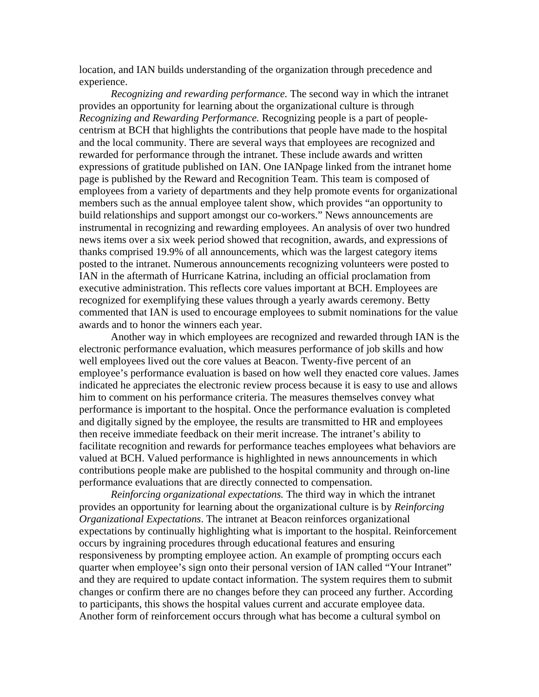location, and IAN builds understanding of the organization through precedence and experience.

*Recognizing and rewarding performance.* The second way in which the intranet provides an opportunity for learning about the organizational culture is through *Recognizing and Rewarding Performance.* Recognizing people is a part of peoplecentrism at BCH that highlights the contributions that people have made to the hospital and the local community. There are several ways that employees are recognized and rewarded for performance through the intranet. These include awards and written expressions of gratitude published on IAN. One IANpage linked from the intranet home page is published by the Reward and Recognition Team. This team is composed of employees from a variety of departments and they help promote events for organizational members such as the annual employee talent show, which provides "an opportunity to build relationships and support amongst our co-workers." News announcements are instrumental in recognizing and rewarding employees. An analysis of over two hundred news items over a six week period showed that recognition, awards, and expressions of thanks comprised 19.9% of all announcements, which was the largest category items posted to the intranet. Numerous announcements recognizing volunteers were posted to IAN in the aftermath of Hurricane Katrina, including an official proclamation from executive administration. This reflects core values important at BCH. Employees are recognized for exemplifying these values through a yearly awards ceremony. Betty commented that IAN is used to encourage employees to submit nominations for the value awards and to honor the winners each year.

Another way in which employees are recognized and rewarded through IAN is the electronic performance evaluation, which measures performance of job skills and how well employees lived out the core values at Beacon. Twenty-five percent of an employee's performance evaluation is based on how well they enacted core values. James indicated he appreciates the electronic review process because it is easy to use and allows him to comment on his performance criteria. The measures themselves convey what performance is important to the hospital. Once the performance evaluation is completed and digitally signed by the employee, the results are transmitted to HR and employees then receive immediate feedback on their merit increase. The intranet's ability to facilitate recognition and rewards for performance teaches employees what behaviors are valued at BCH. Valued performance is highlighted in news announcements in which contributions people make are published to the hospital community and through on-line performance evaluations that are directly connected to compensation.

*Reinforcing organizational expectations.* The third way in which the intranet provides an opportunity for learning about the organizational culture is by *Reinforcing Organizational Expectations*. The intranet at Beacon reinforces organizational expectations by continually highlighting what is important to the hospital. Reinforcement occurs by ingraining procedures through educational features and ensuring responsiveness by prompting employee action. An example of prompting occurs each quarter when employee's sign onto their personal version of IAN called "Your Intranet" and they are required to update contact information. The system requires them to submit changes or confirm there are no changes before they can proceed any further. According to participants, this shows the hospital values current and accurate employee data. Another form of reinforcement occurs through what has become a cultural symbol on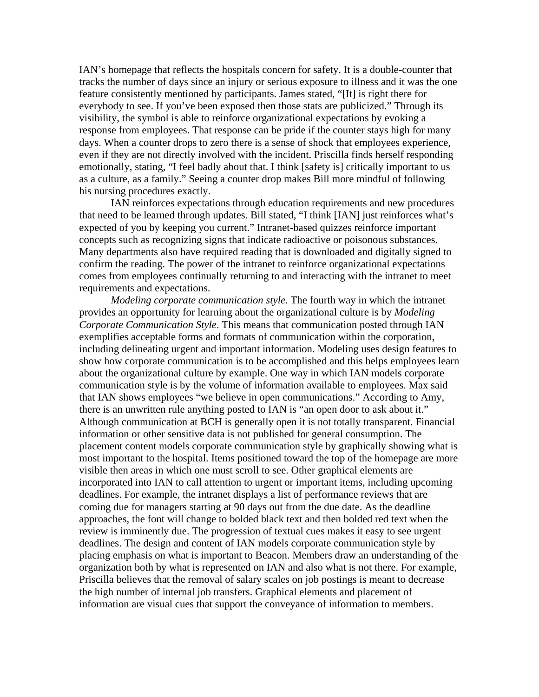IAN's homepage that reflects the hospitals concern for safety. It is a double-counter that tracks the number of days since an injury or serious exposure to illness and it was the one feature consistently mentioned by participants. James stated, "[It] is right there for everybody to see. If you've been exposed then those stats are publicized." Through its visibility, the symbol is able to reinforce organizational expectations by evoking a response from employees. That response can be pride if the counter stays high for many days. When a counter drops to zero there is a sense of shock that employees experience, even if they are not directly involved with the incident. Priscilla finds herself responding emotionally, stating, "I feel badly about that. I think [safety is] critically important to us as a culture, as a family." Seeing a counter drop makes Bill more mindful of following his nursing procedures exactly.

IAN reinforces expectations through education requirements and new procedures that need to be learned through updates. Bill stated, "I think [IAN] just reinforces what's expected of you by keeping you current." Intranet-based quizzes reinforce important concepts such as recognizing signs that indicate radioactive or poisonous substances. Many departments also have required reading that is downloaded and digitally signed to confirm the reading. The power of the intranet to reinforce organizational expectations comes from employees continually returning to and interacting with the intranet to meet requirements and expectations.

*Modeling corporate communication style.* The fourth way in which the intranet provides an opportunity for learning about the organizational culture is by *Modeling Corporate Communication Style*. This means that communication posted through IAN exemplifies acceptable forms and formats of communication within the corporation, including delineating urgent and important information. Modeling uses design features to show how corporate communication is to be accomplished and this helps employees learn about the organizational culture by example. One way in which IAN models corporate communication style is by the volume of information available to employees. Max said that IAN shows employees "we believe in open communications." According to Amy, there is an unwritten rule anything posted to IAN is "an open door to ask about it." Although communication at BCH is generally open it is not totally transparent. Financial information or other sensitive data is not published for general consumption. The placement content models corporate communication style by graphically showing what is most important to the hospital. Items positioned toward the top of the homepage are more visible then areas in which one must scroll to see. Other graphical elements are incorporated into IAN to call attention to urgent or important items, including upcoming deadlines. For example, the intranet displays a list of performance reviews that are coming due for managers starting at 90 days out from the due date. As the deadline approaches, the font will change to bolded black text and then bolded red text when the review is imminently due. The progression of textual cues makes it easy to see urgent deadlines. The design and content of IAN models corporate communication style by placing emphasis on what is important to Beacon. Members draw an understanding of the organization both by what is represented on IAN and also what is not there. For example, Priscilla believes that the removal of salary scales on job postings is meant to decrease the high number of internal job transfers. Graphical elements and placement of information are visual cues that support the conveyance of information to members.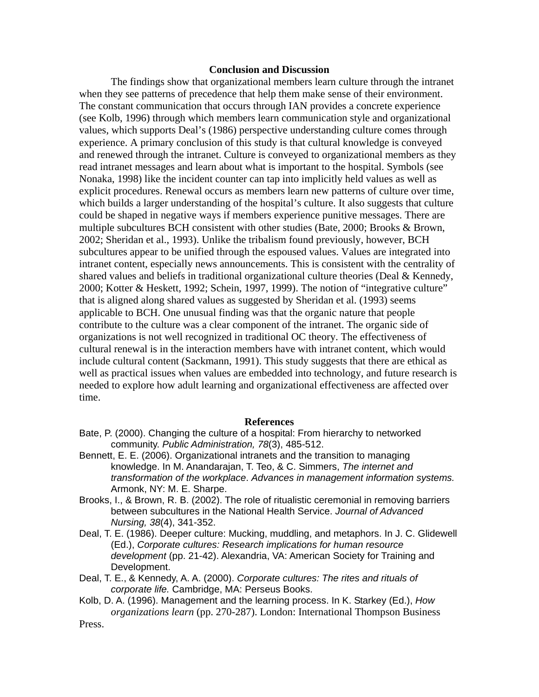#### **Conclusion and Discussion**

The findings show that organizational members learn culture through the intranet when they see patterns of precedence that help them make sense of their environment. The constant communication that occurs through IAN provides a concrete experience (see Kolb, 1996) through which members learn communication style and organizational values, which supports Deal's (1986) perspective understanding culture comes through experience. A primary conclusion of this study is that cultural knowledge is conveyed and renewed through the intranet. Culture is conveyed to organizational members as they read intranet messages and learn about what is important to the hospital. Symbols (see Nonaka, 1998) like the incident counter can tap into implicitly held values as well as explicit procedures. Renewal occurs as members learn new patterns of culture over time, which builds a larger understanding of the hospital's culture. It also suggests that culture could be shaped in negative ways if members experience punitive messages. There are multiple subcultures BCH consistent with other studies (Bate, 2000; Brooks & Brown, 2002; Sheridan et al., 1993). Unlike the tribalism found previously, however, BCH subcultures appear to be unified through the espoused values. Values are integrated into intranet content, especially news announcements. This is consistent with the centrality of shared values and beliefs in traditional organizational culture theories (Deal & Kennedy, 2000; Kotter & Heskett, 1992; Schein, 1997, 1999). The notion of "integrative culture" that is aligned along shared values as suggested by Sheridan et al. (1993) seems applicable to BCH. One unusual finding was that the organic nature that people contribute to the culture was a clear component of the intranet. The organic side of organizations is not well recognized in traditional OC theory. The effectiveness of cultural renewal is in the interaction members have with intranet content, which would include cultural content (Sackmann, 1991). This study suggests that there are ethical as well as practical issues when values are embedded into technology, and future research is needed to explore how adult learning and organizational effectiveness are affected over time.

#### **References**

- Bate, P. (2000). Changing the culture of a hospital: From hierarchy to networked community. *Public Administration, 78*(3), 485-512.
- Bennett, E. E. (2006). Organizational intranets and the transition to managing knowledge. In M. Anandarajan, T. Teo, & C. Simmers, *The internet and transformation of the workplace*. *Advances in management information systems.* Armonk, NY: M. E. Sharpe.
- Brooks, I., & Brown, R. B. (2002). The role of ritualistic ceremonial in removing barriers between subcultures in the National Health Service. *Journal of Advanced Nursing, 38*(4), 341-352.
- Deal, T. E. (1986). Deeper culture: Mucking, muddling, and metaphors. In J. C. Glidewell (Ed.), *Corporate cultures: Research implications for human resource development* (pp. 21-42). Alexandria, VA: American Society for Training and Development.
- Deal, T. E., & Kennedy, A. A. (2000). *Corporate cultures: The rites and rituals of corporate life.* Cambridge, MA: Perseus Books.
- Kolb, D. A. (1996). Management and the learning process. In K. Starkey (Ed.), *How organizations learn* (pp. 270-287). London: International Thompson Business

Press.